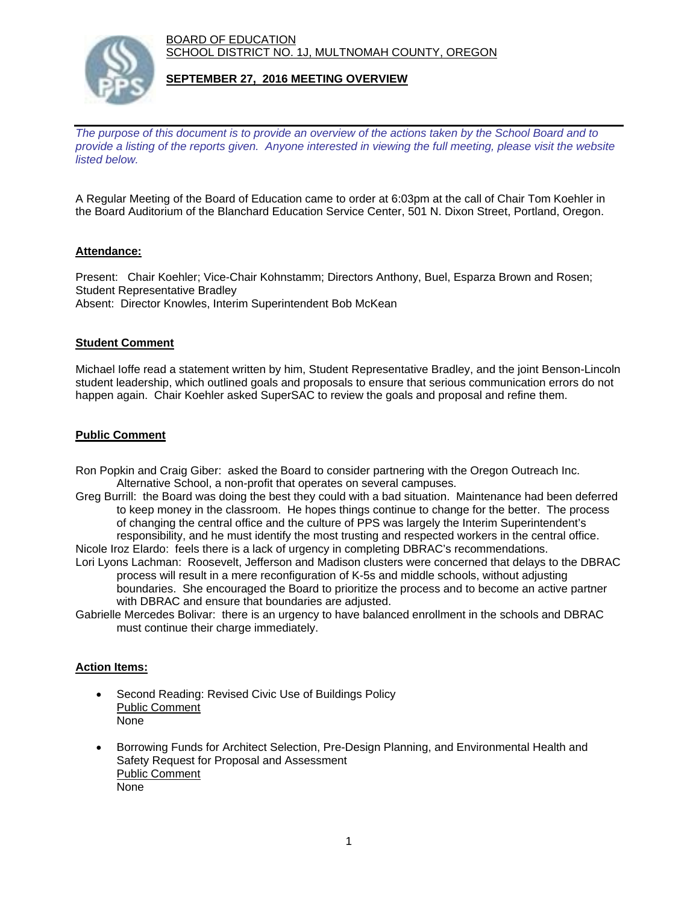BOARD OF EDUCATION SCHOOL DISTRICT NO. 1J, MULTNOMAH COUNTY, OREGON



## **SEPTEMBER 27, 2016 MEETING OVERVIEW**

*The purpose of this document is to provide an overview of the actions taken by the School Board and to provide a listing of the reports given. Anyone interested in viewing the full meeting, please visit the website listed below.*

A Regular Meeting of the Board of Education came to order at 6:03pm at the call of Chair Tom Koehler in the Board Auditorium of the Blanchard Education Service Center, 501 N. Dixon Street, Portland, Oregon.

## **Attendance:**

Present: Chair Koehler; Vice-Chair Kohnstamm; Directors Anthony, Buel, Esparza Brown and Rosen; Student Representative Bradley Absent: Director Knowles, Interim Superintendent Bob McKean

## **Student Comment**

Michael Ioffe read a statement written by him, Student Representative Bradley, and the joint Benson-Lincoln student leadership, which outlined goals and proposals to ensure that serious communication errors do not happen again. Chair Koehler asked SuperSAC to review the goals and proposal and refine them.

## **Public Comment**

- Ron Popkin and Craig Giber: asked the Board to consider partnering with the Oregon Outreach Inc. Alternative School, a non-profit that operates on several campuses.
- Greg Burrill: the Board was doing the best they could with a bad situation. Maintenance had been deferred to keep money in the classroom. He hopes things continue to change for the better. The process of changing the central office and the culture of PPS was largely the Interim Superintendent's responsibility, and he must identify the most trusting and respected workers in the central office. Nicole Iroz Elardo: feels there is a lack of urgency in completing DBRAC's recommendations.
- Lori Lyons Lachman: Roosevelt, Jefferson and Madison clusters were concerned that delays to the DBRAC process will result in a mere reconfiguration of K-5s and middle schools, without adjusting boundaries. She encouraged the Board to prioritize the process and to become an active partner with DBRAC and ensure that boundaries are adjusted.
- Gabrielle Mercedes Bolivar: there is an urgency to have balanced enrollment in the schools and DBRAC must continue their charge immediately.

#### **Action Items:**

- Second Reading: Revised Civic Use of Buildings Policy Public Comment None
- Borrowing Funds for Architect Selection, Pre-Design Planning, and Environmental Health and Safety Request for Proposal and Assessment Public Comment None